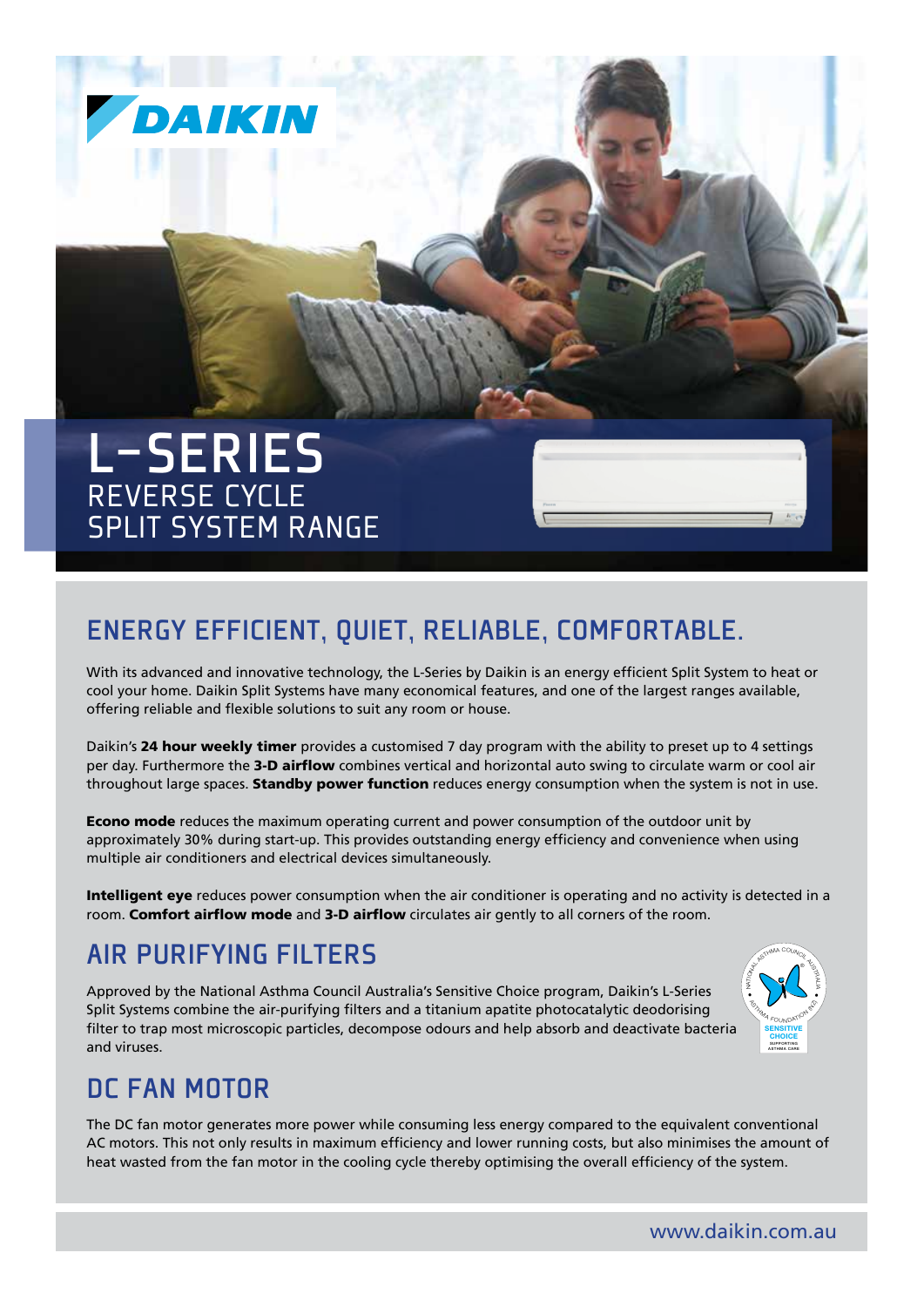

# Energy efficient, quiet, reliable, comfortable.

With its advanced and innovative technology, the L-Series by Daikin is an energy efficient Split System to heat or cool your home. Daikin Split Systems have many economical features, and one of the largest ranges available, offering reliable and flexible solutions to suit any room or house.

Daikin's 24 hour weekly timer provides a customised 7 day program with the ability to preset up to 4 settings per day. Furthermore the 3-D airflow combines vertical and horizontal auto swing to circulate warm or cool air throughout large spaces. Standby power function reduces energy consumption when the system is not in use.

**Econo mode** reduces the maximum operating current and power consumption of the outdoor unit by approximately 30% during start-up. This provides outstanding energy efficiency and convenience when using multiple air conditioners and electrical devices simultaneously.

Intelligent eye reduces power consumption when the air conditioner is operating and no activity is detected in a room. Comfort airflow mode and 3-D airflow circulates air gently to all corners of the room.

### Air Purifying Filters

Approved by the National Asthma Council Australia's Sensitive Choice program, Daikin's L-Series Split Systems combine the air-purifying filters and a titanium apatite photocatalytic deodorising filter to trap most microscopic particles, decompose odours and help absorb and deactivate bacteria and viruses. Supporting the contract of the contract of the contract of the contract of the contract of the contract of the contract of the contract of the contract of the contract of the contract of the contract of the co



#### DC Fan Motor

The DC fan motor generates more power while consuming less energy compared to the equivalent conventional AC motors. This not only results in maximum efficiency and lower running costs, but also minimises the amount of heat wasted from the fan motor in the cooling cycle thereby optimising the overall efficiency of the system.